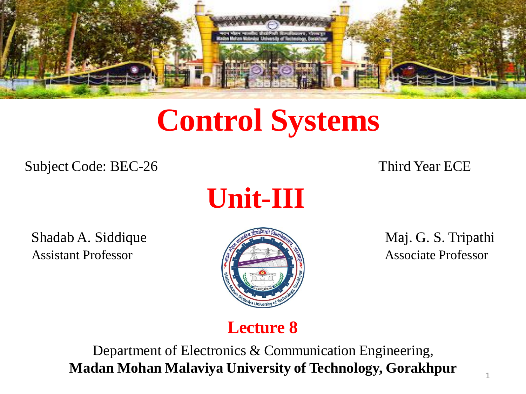

# **Control Systems**

Subject Code: BEC-26 Third Year ECE



Shadab A. Siddique Maj. G. S. Tripathi Assistant Professor **Associate Professor** Associate Professor



## **Lecture 8**

Department of Electronics & Communication Engineering, **Madan Mohan Malaviya University of Technology, Gorakhpur**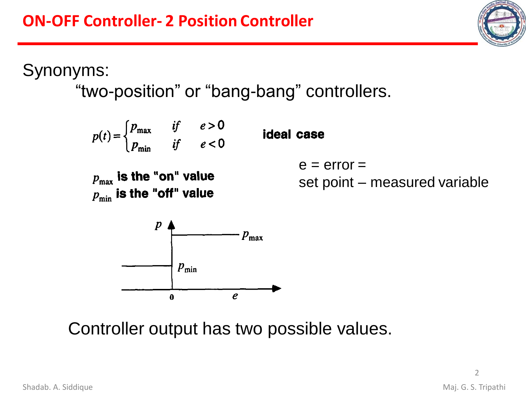Synonyms:

"two-position" or "bang-bang" controllers.



Controller output has two possible values.

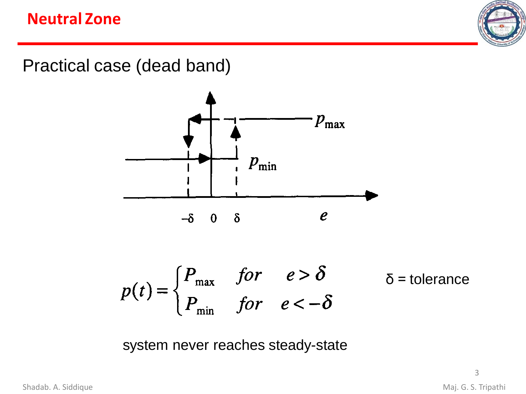#### **Neutral Zone**



Practical case (dead band)



system never reaches steady-state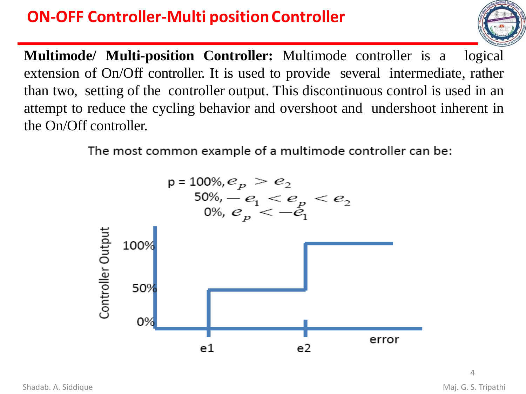## **ON-OFF Controller-Multi position Controller**



**Multimode/ Multi-position Controller:** Multimode controller is a logical extension of On/Off controller. It is used to provide several intermediate, rather than two, setting of the controller output. This discontinuous control is used in an attempt to reduce the cycling behavior and overshoot and undershoot inherent in the On/Off controller.

The most common example of a multimode controller can be:

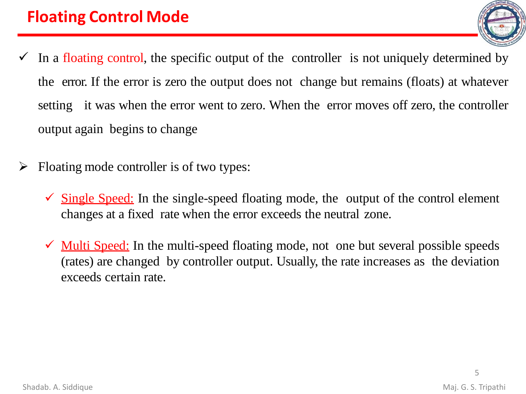- In a floating control, the specific output of the controller is not uniquely determined by the error. If the error is zero the output does not change but remains (floats) at whatever setting it was when the error went to zero. When the error moves off zero, the controller output again begins to change
- Floating mode controller is of two types:
	- $\checkmark$  Single Speed: In the single-speed floating mode, the output of the control element changes at a fixed rate when the error exceeds the neutral zone.
	- $\checkmark$  Multi Speed: In the multi-speed floating mode, not one but several possible speeds (rates) are changed by controller output. Usually, the rate increases as the deviation exceeds certain rate.

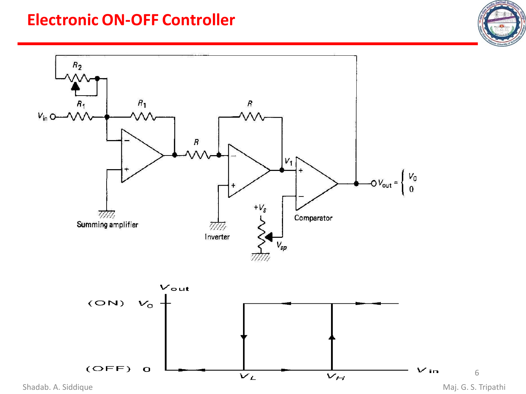#### **Electronic ON-OFF Controller**





Shadab. A. Siddique **Maj. G. S. Tripathi**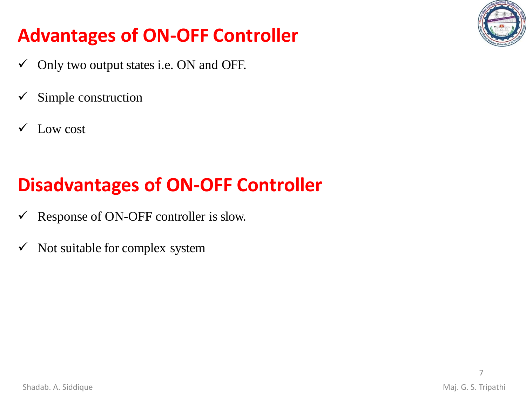

# **Advantages of ON-OFF Controller**

- $\checkmark$  Only two output states i.e. ON and OFF.
- Simple construction
- Low cost

# **Disadvantages of ON-OFF Controller**

- $\checkmark$  Response of ON-OFF controller is slow.
- $\checkmark$  Not suitable for complex system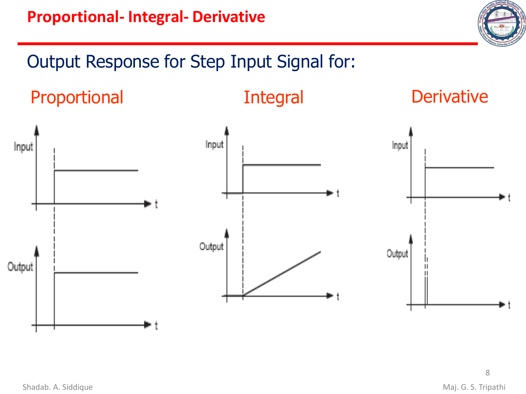## Output Response for Step Input Signal for:





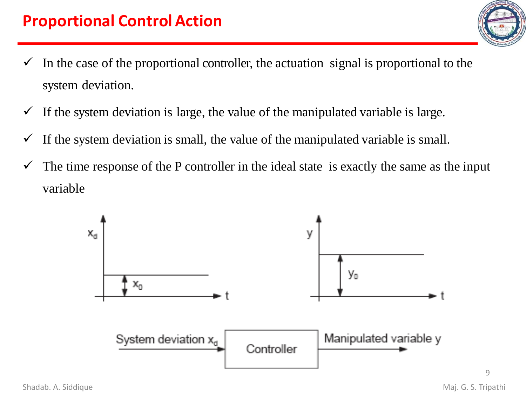- $\checkmark$  In the case of the proportional controller, the actuation signal is proportional to the system deviation.
- $\checkmark$  If the system deviation is large, the value of the manipulated variable is large.
- $\checkmark$  If the system deviation is small, the value of the manipulated variable is small.
- $\checkmark$  The time response of the P controller in the ideal state is exactly the same as the input variable



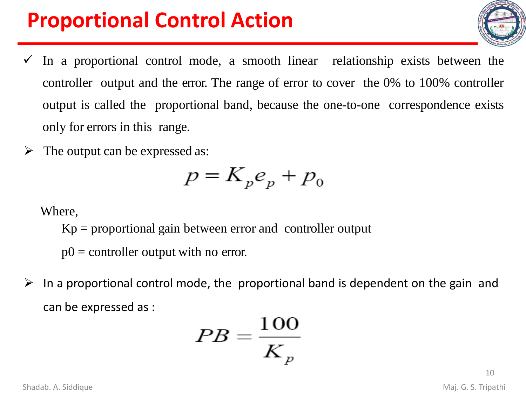# **Proportional Control Action**

- $\checkmark$  In a proportional control mode, a smooth linear relationship exists between the controller output and the error. The range of error to cover the 0% to 100% controller output is called the proportional band, because the one-to-one correspondence exists only for errors in this range.
- $\triangleright$  The output can be expressed as:

$$
p = K_p e_p + p_0
$$

Where,

 $Kp =$  proportional gain between error and controller output

 $p0 =$  controller output with no error.

 $\triangleright$  In a proportional control mode, the proportional band is dependent on the gain and can be expressed as :

$$
PB=\frac{100}{K_p}
$$

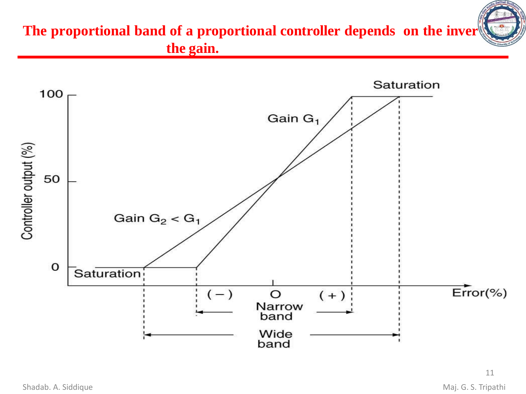

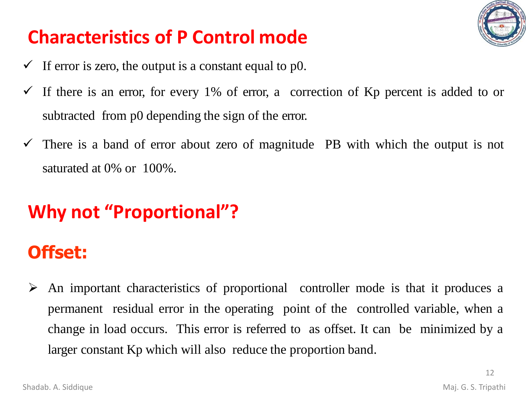

# **Characteristics of P Control mode**

- $\checkmark$  If error is zero, the output is a constant equal to p0.
- $\checkmark$  If there is an error, for every 1% of error, a correction of Kp percent is added to or subtracted from p0 depending the sign of the error.
- $\checkmark$  There is a band of error about zero of magnitude PB with which the output is not saturated at 0% or 100%.

# **Why not "Proportional"?**

## **Offset:**

➢ An important characteristics of proportional controller mode is that it produces a permanent residual error in the operating point of the controlled variable, when a change in load occurs. This error is referred to as offset. It can be minimized by a larger constant Kp which will also reduce the proportion band.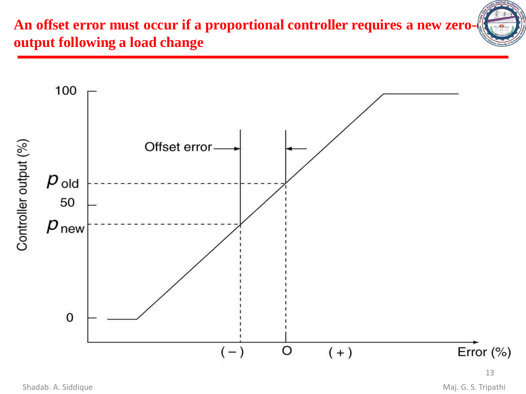

An offset error must occur if a proportional controller requires a new zero**output following a load change**

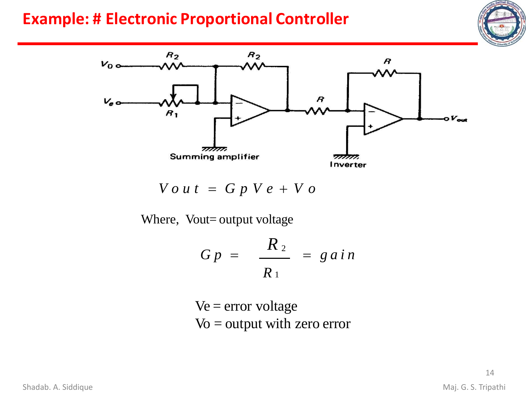### **Example: # Electronic Proportional Controller**





 $V \circ u t = G p V e + V o$ 

Where, Vout= output voltage

$$
G p = \frac{R_2}{R_1} = g \, a \, i \, n
$$

 $Ve = error voltage$  $Vo =$  output with zero error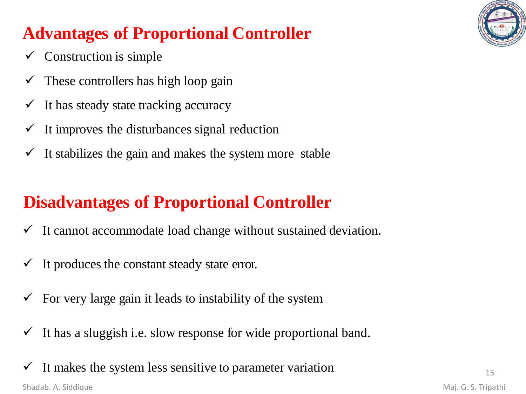

## **Advantages of Proportional Controller**

- $\checkmark$  Construction is simple
- $\checkmark$  These controllers has high loop gain
- $\checkmark$  It has steady state tracking accuracy
- $\checkmark$  It improves the disturbances signal reduction
- $\checkmark$  It stabilizes the gain and makes the system more stable

## **Disadvantages of Proportional Controller**

- $\checkmark$  It cannot accommodate load change without sustained deviation.
- $\checkmark$  It produces the constant steady state error.
- $\checkmark$  For very large gain it leads to instability of the system
- $\checkmark$  It has a sluggish i.e. slow response for wide proportional band.
- $\checkmark$  It makes the system less sensitive to parameter variation Shadab. A. Siddique Maj. G. S. Tripathi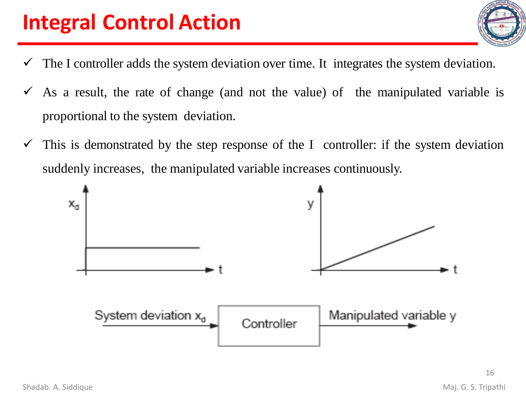# **Integral Control Action**

- $\checkmark$  The I controller adds the system deviation over time. It integrates the system deviation.
- $\checkmark$  As a result, the rate of change (and not the value) of the manipulated variable is proportional to the system deviation.
- $\checkmark$  This is demonstrated by the step response of the I controller: if the system deviation suddenly increases, the manipulated variable increases continuously.



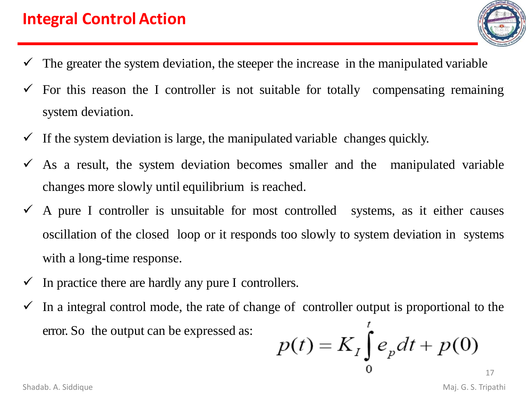

- The greater the system deviation, the steeper the increase in the manipulated variable
- $\checkmark$  For this reason the I controller is not suitable for totally compensating remaining system deviation.
- $\checkmark$  If the system deviation is large, the manipulated variable changes quickly.
- $\checkmark$  As a result, the system deviation becomes smaller and the manipulated variable changes more slowly until equilibrium is reached.
- $\checkmark$  A pure I controller is unsuitable for most controlled systems, as it either causes oscillation of the closed loop or it responds too slowly to system deviation in systems with a long-time response.
- $\checkmark$  In practice there are hardly any pure I controllers.
- $\checkmark$  In a integral control mode, the rate of change of controller output is proportional to the t error. So the output can be expressed as:

$$
p(t) = K_I \int_0^t e_p dt + p(0)
$$